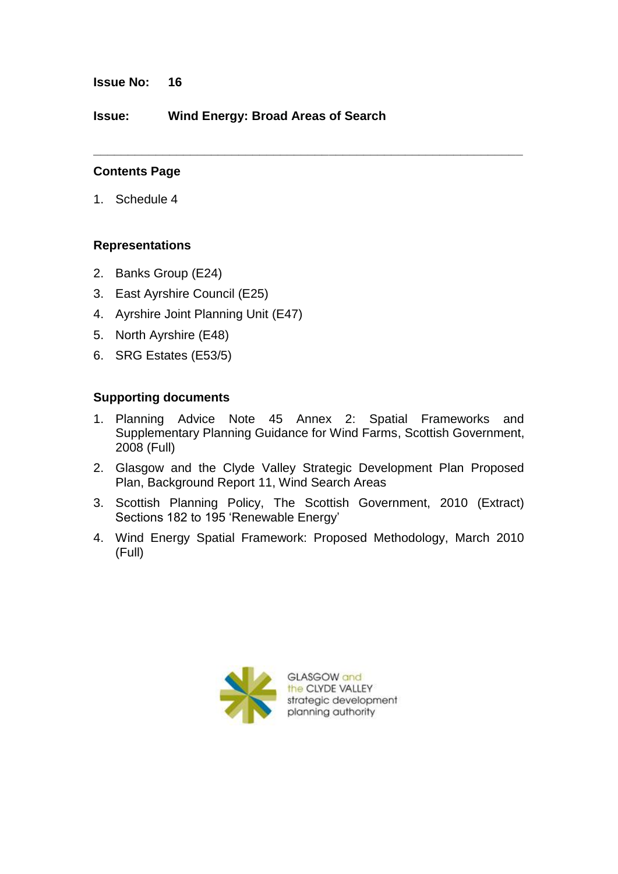**Issue No: 16**

**Issue: Wind Energy: Broad Areas of Search**

#### **Contents Page**

1. Schedule 4

### **Representations**

- 2. Banks Group (E24)
- 3. East Ayrshire Council (E25)
- 4. Ayrshire Joint Planning Unit (E47)
- 5. North Ayrshire (E48)
- 6. SRG Estates (E53/5)

#### **Supporting documents**

1. Planning Advice Note 45 Annex 2: Spatial Frameworks and Supplementary Planning Guidance for Wind Farms, Scottish Government, 2008 (Full)

**\_\_\_\_\_\_\_\_\_\_\_\_\_\_\_\_\_\_\_\_\_\_\_\_\_\_\_\_\_\_\_\_\_\_\_\_\_\_\_\_\_\_\_\_\_\_\_\_\_\_\_\_\_\_\_\_\_\_\_\_\_\_**

- 2. Glasgow and the Clyde Valley Strategic Development Plan Proposed Plan, Background Report 11, Wind Search Areas
- 3. Scottish Planning Policy, The Scottish Government, 2010 (Extract) Sections 182 to 195 'Renewable Energy'
- 4. Wind Energy Spatial Framework: Proposed Methodology, March 2010 (Full)

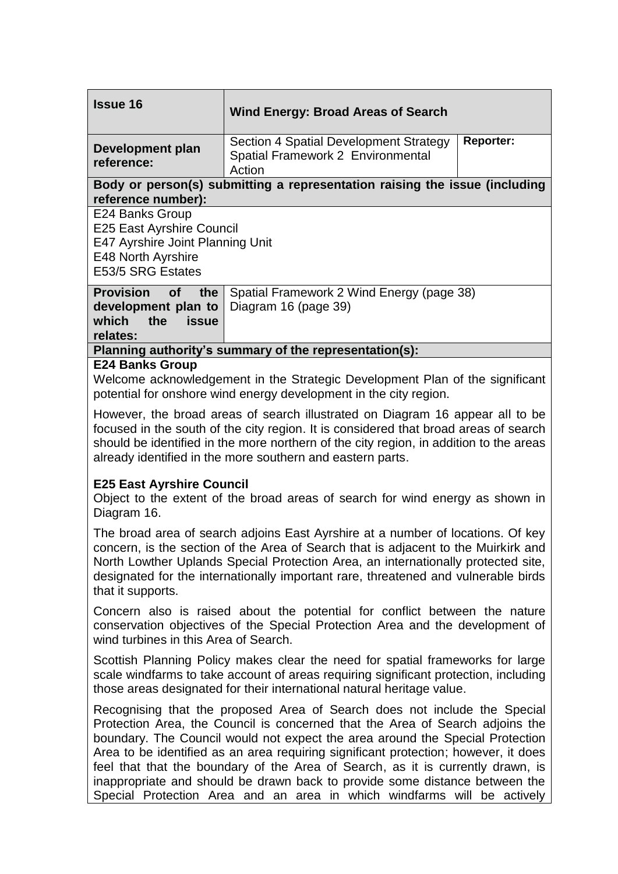| <b>Issue 16</b>                                                                                                                                                                                                                                                                                                               | <b>Wind Energy: Broad Areas of Search</b>                                                                 |
|-------------------------------------------------------------------------------------------------------------------------------------------------------------------------------------------------------------------------------------------------------------------------------------------------------------------------------|-----------------------------------------------------------------------------------------------------------|
| Development plan<br>reference:                                                                                                                                                                                                                                                                                                | <b>Reporter:</b><br>Section 4 Spatial Development Strategy<br>Spatial Framework 2 Environmental<br>Action |
| Body or person(s) submitting a representation raising the issue (including<br>reference number):                                                                                                                                                                                                                              |                                                                                                           |
| E24 Banks Group<br><b>E25 East Ayrshire Council</b><br>E47 Ayrshire Joint Planning Unit<br>E48 North Ayrshire<br>E53/5 SRG Estates                                                                                                                                                                                            |                                                                                                           |
| <b>Provision</b><br>of<br>the<br>development plan to<br>which<br>the<br>issue<br>relates:                                                                                                                                                                                                                                     | Spatial Framework 2 Wind Energy (page 38)<br>Diagram 16 (page 39)                                         |
| Planning authority's summary of the representation(s):                                                                                                                                                                                                                                                                        |                                                                                                           |
| <b>E24 Banks Group</b><br>Welcome acknowledgement in the Strategic Development Plan of the significant<br>potential for onshore wind energy development in the city region.                                                                                                                                                   |                                                                                                           |
| However, the broad areas of search illustrated on Diagram 16 appear all to be<br>focused in the south of the city region. It is considered that broad areas of search<br>should be identified in the more northern of the city region, in addition to the areas<br>already identified in the more southern and eastern parts. |                                                                                                           |
| <b>E25 East Ayrshire Council</b><br>Object to the extent of the broad areas of search for wind energy as shown in<br>Diagram 16.                                                                                                                                                                                              |                                                                                                           |

The broad area of search adjoins East Ayrshire at a number of locations. Of key concern, is the section of the Area of Search that is adjacent to the Muirkirk and North Lowther Uplands Special Protection Area, an internationally protected site, designated for the internationally important rare, threatened and vulnerable birds that it supports.

Concern also is raised about the potential for conflict between the nature conservation objectives of the Special Protection Area and the development of wind turbines in this Area of Search.

Scottish Planning Policy makes clear the need for spatial frameworks for large scale windfarms to take account of areas requiring significant protection, including those areas designated for their international natural heritage value.

Recognising that the proposed Area of Search does not include the Special Protection Area, the Council is concerned that the Area of Search adjoins the boundary. The Council would not expect the area around the Special Protection Area to be identified as an area requiring significant protection; however, it does feel that that the boundary of the Area of Search, as it is currently drawn, is inappropriate and should be drawn back to provide some distance between the Special Protection Area and an area in which windfarms will be actively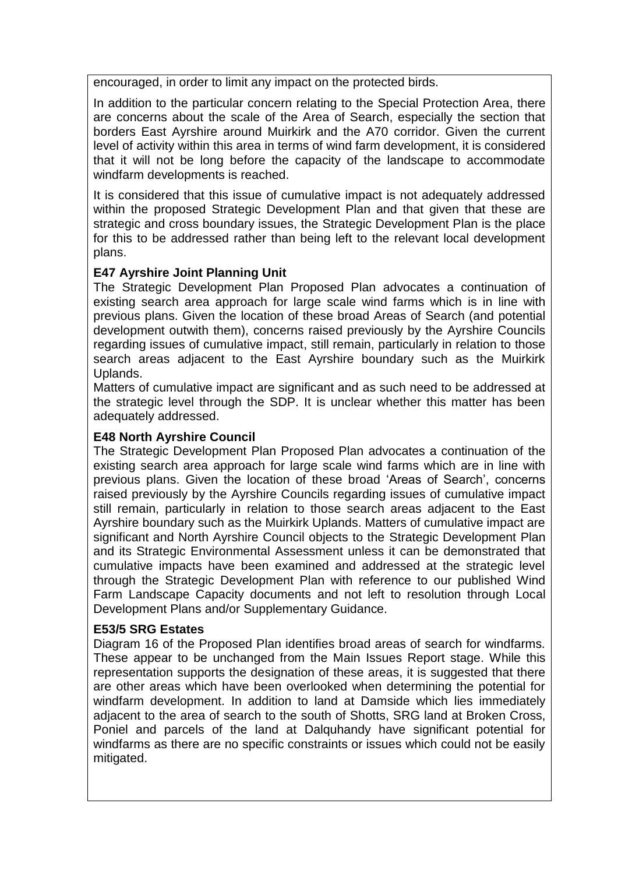encouraged, in order to limit any impact on the protected birds.

In addition to the particular concern relating to the Special Protection Area, there are concerns about the scale of the Area of Search, especially the section that borders East Ayrshire around Muirkirk and the A70 corridor. Given the current level of activity within this area in terms of wind farm development, it is considered that it will not be long before the capacity of the landscape to accommodate windfarm developments is reached.

It is considered that this issue of cumulative impact is not adequately addressed within the proposed Strategic Development Plan and that given that these are strategic and cross boundary issues, the Strategic Development Plan is the place for this to be addressed rather than being left to the relevant local development plans.

## **E47 Ayrshire Joint Planning Unit**

The Strategic Development Plan Proposed Plan advocates a continuation of existing search area approach for large scale wind farms which is in line with previous plans. Given the location of these broad Areas of Search (and potential development outwith them), concerns raised previously by the Ayrshire Councils regarding issues of cumulative impact, still remain, particularly in relation to those search areas adjacent to the East Ayrshire boundary such as the Muirkirk Uplands.

Matters of cumulative impact are significant and as such need to be addressed at the strategic level through the SDP. It is unclear whether this matter has been adequately addressed.

### **E48 North Ayrshire Council**

The Strategic Development Plan Proposed Plan advocates a continuation of the existing search area approach for large scale wind farms which are in line with previous plans. Given the location of these broad "Areas of Search", concerns raised previously by the Ayrshire Councils regarding issues of cumulative impact still remain, particularly in relation to those search areas adjacent to the East Ayrshire boundary such as the Muirkirk Uplands. Matters of cumulative impact are significant and North Ayrshire Council objects to the Strategic Development Plan and its Strategic Environmental Assessment unless it can be demonstrated that cumulative impacts have been examined and addressed at the strategic level through the Strategic Development Plan with reference to our published Wind Farm Landscape Capacity documents and not left to resolution through Local Development Plans and/or Supplementary Guidance.

### **E53/5 SRG Estates**

Diagram 16 of the Proposed Plan identifies broad areas of search for windfarms. These appear to be unchanged from the Main Issues Report stage. While this representation supports the designation of these areas, it is suggested that there are other areas which have been overlooked when determining the potential for windfarm development. In addition to land at Damside which lies immediately adjacent to the area of search to the south of Shotts, SRG land at Broken Cross, Poniel and parcels of the land at Dalquhandy have significant potential for windfarms as there are no specific constraints or issues which could not be easily mitigated.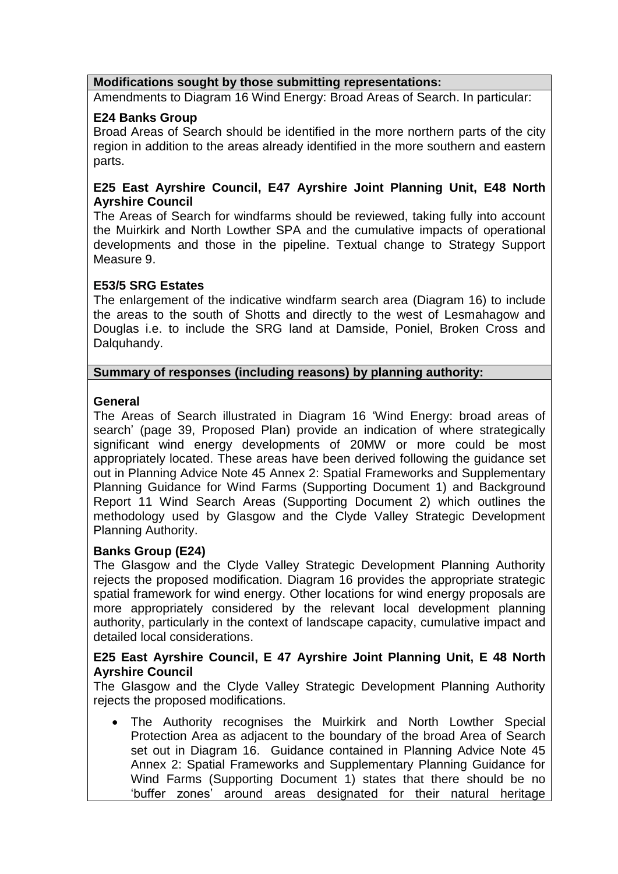### **Modifications sought by those submitting representations:**

Amendments to Diagram 16 Wind Energy: Broad Areas of Search. In particular:

## **E24 Banks Group**

Broad Areas of Search should be identified in the more northern parts of the city region in addition to the areas already identified in the more southern and eastern parts.

## **E25 East Ayrshire Council, E47 Ayrshire Joint Planning Unit, E48 North Ayrshire Council**

The Areas of Search for windfarms should be reviewed, taking fully into account the Muirkirk and North Lowther SPA and the cumulative impacts of operational developments and those in the pipeline. Textual change to Strategy Support Measure 9.

## **E53/5 SRG Estates**

The enlargement of the indicative windfarm search area (Diagram 16) to include the areas to the south of Shotts and directly to the west of Lesmahagow and Douglas i.e. to include the SRG land at Damside, Poniel, Broken Cross and Dalquhandy.

### **Summary of responses (including reasons) by planning authority:**

## **General**

The Areas of Search illustrated in Diagram 16 "Wind Energy: broad areas of search' (page 39, Proposed Plan) provide an indication of where strategically significant wind energy developments of 20MW or more could be most appropriately located. These areas have been derived following the guidance set out in Planning Advice Note 45 Annex 2: Spatial Frameworks and Supplementary Planning Guidance for Wind Farms (Supporting Document 1) and Background Report 11 Wind Search Areas (Supporting Document 2) which outlines the methodology used by Glasgow and the Clyde Valley Strategic Development Planning Authority.

# **Banks Group (E24)**

The Glasgow and the Clyde Valley Strategic Development Planning Authority rejects the proposed modification. Diagram 16 provides the appropriate strategic spatial framework for wind energy. Other locations for wind energy proposals are more appropriately considered by the relevant local development planning authority, particularly in the context of landscape capacity, cumulative impact and detailed local considerations.

### **E25 East Ayrshire Council, E 47 Ayrshire Joint Planning Unit, E 48 North Ayrshire Council**

The Glasgow and the Clyde Valley Strategic Development Planning Authority rejects the proposed modifications.

 The Authority recognises the Muirkirk and North Lowther Special Protection Area as adjacent to the boundary of the broad Area of Search set out in Diagram 16. Guidance contained in Planning Advice Note 45 Annex 2: Spatial Frameworks and Supplementary Planning Guidance for Wind Farms (Supporting Document 1) states that there should be no "buffer zones" around areas designated for their natural heritage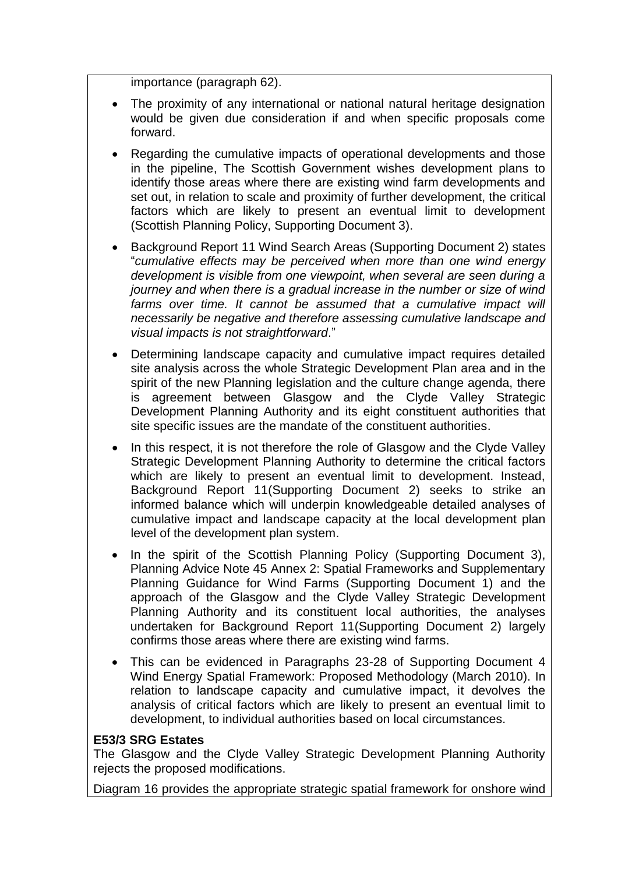importance (paragraph 62).

- The proximity of any international or national natural heritage designation would be given due consideration if and when specific proposals come forward.
- Regarding the cumulative impacts of operational developments and those in the pipeline, The Scottish Government wishes development plans to identify those areas where there are existing wind farm developments and set out, in relation to scale and proximity of further development, the critical factors which are likely to present an eventual limit to development (Scottish Planning Policy, Supporting Document 3).
- Background Report 11 Wind Search Areas (Supporting Document 2) states "*cumulative effects may be perceived when more than one wind energy development is visible from one viewpoint, when several are seen during a journey and when there is a gradual increase in the number or size of wind*  farms over time. It cannot be assumed that a cumulative impact will *necessarily be negative and therefore assessing cumulative landscape and visual impacts is not straightforward*."
- Determining landscape capacity and cumulative impact requires detailed site analysis across the whole Strategic Development Plan area and in the spirit of the new Planning legislation and the culture change agenda, there is agreement between Glasgow and the Clyde Valley Strategic Development Planning Authority and its eight constituent authorities that site specific issues are the mandate of the constituent authorities.
- In this respect, it is not therefore the role of Glasgow and the Clyde Valley Strategic Development Planning Authority to determine the critical factors which are likely to present an eventual limit to development. Instead, Background Report 11(Supporting Document 2) seeks to strike an informed balance which will underpin knowledgeable detailed analyses of cumulative impact and landscape capacity at the local development plan level of the development plan system.
- In the spirit of the Scottish Planning Policy (Supporting Document 3), Planning Advice Note 45 Annex 2: Spatial Frameworks and Supplementary Planning Guidance for Wind Farms (Supporting Document 1) and the approach of the Glasgow and the Clyde Valley Strategic Development Planning Authority and its constituent local authorities, the analyses undertaken for Background Report 11(Supporting Document 2) largely confirms those areas where there are existing wind farms.
- This can be evidenced in Paragraphs 23-28 of Supporting Document 4 Wind Energy Spatial Framework: Proposed Methodology (March 2010). In relation to landscape capacity and cumulative impact, it devolves the analysis of critical factors which are likely to present an eventual limit to development, to individual authorities based on local circumstances.

#### **E53/3 SRG Estates**

The Glasgow and the Clyde Valley Strategic Development Planning Authority rejects the proposed modifications.

Diagram 16 provides the appropriate strategic spatial framework for onshore wind